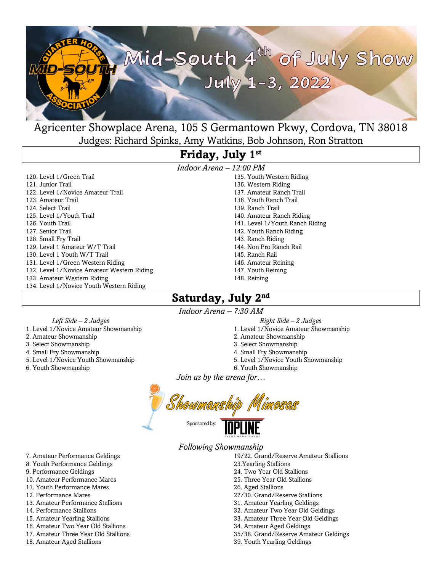

## Agricenter Showplace Arena, 105 S Germantown Pkwy, Cordova, TN 38018 Judges: Richard Spinks, Amy Watkins, Bob Johnson, Ron Stratton

# **Friday, July 1 st**

120. Level 1/Green Trail 121. Junior Trail 122. Level 1/Novice Amateur Trail 123. Amateur Trail 124. Select Trail 125. Level 1/Youth Trail 126. Youth Trail 127. Senior Trail 128. Small Fry Trail 129. Level 1 Amateur W/T Trail 130. Level 1 Youth W/T Trail 131. Level 1/Green Western Riding 132. Level 1/Novice Amateur Western Riding 133. Amateur Western Riding 134. Level 1/Novice Youth Western Riding

*Indoor Arena – 12:00 PM* 135. Youth Western Riding 136. Western Riding 137. Amateur Ranch Trail 138. Youth Ranch Trail 139. Ranch Trail 140. Amateur Ranch Riding 141. Level 1/Youth Ranch Riding 142. Youth Ranch Riding 143. Ranch Riding 144. Non Pro Ranch Rail 145. Ranch Rail 146. Amateur Reining

- 147. Youth Reining
- 148. Reining

## Saturday, July 2<sup>nd</sup>

*Indoor Arena – 7:30 AM*

 *Left Side – 2 Judges*

- 1. Level 1/Novice Amateur Showmanship
- 2. Amateur Showmanship 3. Select Showmanship
- 4. Small Fry Showmanship
- 5. Level 1/Novice Youth Showmanship
- 
- 6. Youth Showmanship
- *Right Side – 2 Judges*
- 1. Level 1/Novice Amateur Showmanship
- 2. Amateur Showmanship
- 3. Select Showmanship
- 4. Small Fry Showmanship
- 5. Level 1/Novice Youth Showmanship
- 6. Youth Showmanship

*Join us by the arena for…*

Sponsored by:

*Following Showmanship*

- 19/22. Grand/Reserve Amateur Stallions
- 23.Yearling Stallions
- 24. Two Year Old Stallions
- 25. Three Year Old Stallions
- 26. Aged Stallions
- 27/30. Grand/Reserve Stallions
- 31. Amateur Yearling Geldings
- 32. Amateur Two Year Old Geldings
- 33. Amateur Three Year Old Geldings
- 34. Amateur Aged Geldings
- 35/38. Grand/Reserve Amateur Geldings
- 39. Youth Yearling Geldings
- 7. Amateur Performance Geldings
- 8. Youth Performance Geldings
- 9. Performance Geldings
- 10. Amateur Performance Mares 11. Youth Performance Mares
- 
- 12. Performance Mares
- 13. Amateur Performance Stallions
- 14. Performance Stallions
- 15. Amateur Yearling Stallions
- 16. Amateur Two Year Old Stallions
- 17. Amateur Three Year Old Stallions
- 18. Amateur Aged Stallions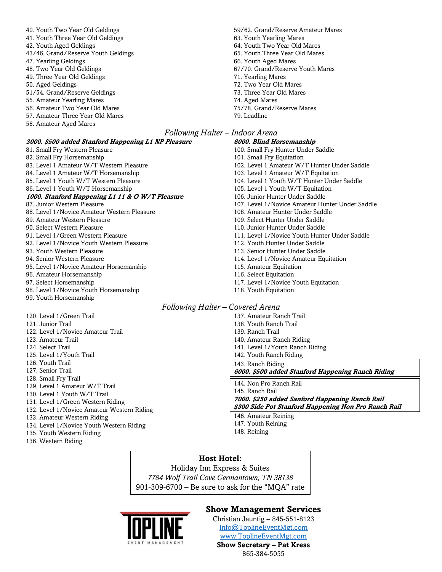40. Youth Two Year Old Geldings 41. Youth Three Year Old Geldings 42. Youth Aged Geldings 43/46. Grand/Reserve Youth Geldings 47. Yearling Geldings 48. Two Year Old Geldings 49. Three Year Old Geldings 50. Aged Geldings 51/54. Grand/Reserve Geldings 55. Amateur Yearling Mares 56. Amateur Two Year Old Mares 57. Amateur Three Year Old Mares 58. Amateur Aged Mares

#### **3000. \$500 added Stanford Happening L1 NP Pleasure**

81. Small Fry Western Pleasure 82. Small Fry Horsemanship 83. Level 1 Amateur W/T Western Pleasure 84. Level 1 Amateur W/T Horsemanship 85. Level 1 Youth W/T Western Pleasure 86. Level 1 Youth W/T Horsemanship **1000. Stanford Happening L1 11 & O W/T Pleasure** 87. Junior Western Pleasure 88. Level 1/Novice Amateur Western Pleasure 89. Amateur Western Pleasure 90. Select Western Pleasure 91. Level 1/Green Western Pleasure 92. Level 1/Novice Youth Western Pleasure 93. Youth Western Pleasure 94. Senior Western Pleasure 95. Level 1/Novice Amateur Horsemanship 96. Amateur Horsemanship 97. Select Horsemanship 98. Level 1/Novice Youth Horsemanship

99. Youth Horsemanship

120. Level 1/Green Trail 121. Junior Trail 122. Level 1/Novice Amateur Trail 123. Amateur Trail 124. Select Trail 125. Level 1/Youth Trail 126. Youth Trail 127. Senior Trail 128. Small Fry Trail 129. Level 1 Amateur W/T Trail 130. Level 1 Youth W/T Trail 131. Level 1/Green Western Riding 132. Level 1/Novice Amateur Western Riding 133. Amateur Western Riding 134. Level 1/Novice Youth Western Riding

- 135. Youth Western Riding
- 136. Western Riding

59/62. Grand/Reserve Amateur Mares 63. Youth Yearling Mares 64. Youth Two Year Old Mares 65. Youth Three Year Old Mares 66. Youth Aged Mares 67/70. Grand/Reserve Youth Mares 71. Yearling Mares 72. Two Year Old Mares 73. Three Year Old Mares 74. Aged Mares 75/78. Grand/Reserve Mares

79. Leadline *Following Halter – Indoor Arena* **8000. Blind Horsemanship** 100. Small Fry Hunter Under Saddle 101. Small Fry Equitation 102. Level 1 Amateur W/T Hunter Under Saddle 103. Level 1 Amateur W/T Equitation 104. Level 1 Youth W/T Hunter Under Saddle 105. Level 1 Youth W/T Equitation 106. Junior Hunter Under Saddle 107. Level 1/Novice Amateur Hunter Under Saddle 108. Amateur Hunter Under Saddle

- 109. Select Hunter Under Saddle
- 110. Junior Hunter Under Saddle
- 111. Level 1/Novice Youth Hunter Under Saddle
- 112. Youth Hunter Under Saddle
- 113. Senior Hunter Under Saddle
- 114. Level 1/Novice Amateur Equitation
- 115. Amateur Equitation
- 116. Select Equitation
- 117. Level 1/Novice Youth Equitation
- 118. Youth Equitation

#### *Following Halter – Covered Arena*

- 137. Amateur Ranch Trail
- 138. Youth Ranch Trail
- 139. Ranch Trail
- 140. Amateur Ranch Riding
- 141. Level 1/Youth Ranch Riding
- 142. Youth Ranch Riding
- 143. Ranch Riding

**6000. \$500 added Stanford Happening Ranch Riding**

144. Non Pro Ranch Rail 145. Ranch Rail **7000. \$250 added Sanford Happening Ranch Rail \$300 Side Pot Stanford Happening Non Pro Ranch Rail**

146. Amateur Reining 147. Youth Reining 148. Reining

## **Host Hotel:**

Holiday Inn Express & Suites *7784 Wolf Trail Cove Germantown, TN 38138* 901-309-6700 – Be sure to ask for the "MQA" rate

### **Show Management Services**

Christian Jauntig – 845-551-8123 [Info@ToplineEventMgt.com](mailto:Info@ToplineEventMgt.com) [www.ToplineEventMgt.com](http://www.toplineeventmgt.com/) **Show Secretary – Pat Kress** 865-384-5055